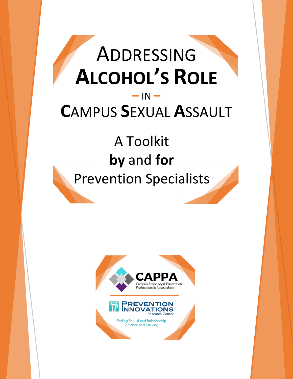# ADDRESSING **ALCOHOL'S ROLE –** IN **– C**AMPUS **S**EXUAL **A**SSAULT

# A Toolkit **by** and **for** Prevention Specialists

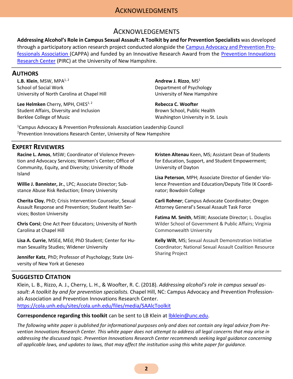## **ACKNOWLEDGMENTS**

#### ACKNOWLEDGEMENTS

<span id="page-1-0"></span>**Addressing Alcohol's Role in Campus Sexual Assault: A Toolkit by and for Prevention Specialists** was developed through a participatory action research project conducted alongside the [Campus Advocacy and Prevention Pro](http://nationalcappa.org/)[fessionals Association \(](http://nationalcappa.org/)CAPPA) and funded by an Innovative Research Award from the [Prevention Innovations](https://cola.unh.edu/prevention-innovations-research-center)  [Research Center](https://cola.unh.edu/prevention-innovations-research-center) (PIRC) at the University of New Hampshire.

#### <span id="page-1-1"></span>**AUTHORS**

**L.B. Klein**, MSW, MPA<sup>1, 2</sup> School of Social Work University of North Carolina at Chapel Hill

Lee Helmken Cherry, MPH, CHES<sup>1, 2</sup> Student Affairs, Diversity and Inclusion Berklee College of Music

**Andrew J. Rizzo**, MS<sup>1</sup> Department of Psychology University of New Hampshire

**Rebecca C. Woofter** Brown School, Public Health Washington University in St. Louis

<sup>1</sup>Campus Advocacy & Prevention Professionals Association Leadership Council <sup>2</sup>Prevention Innovations Research Center, University of New Hampshire

#### <span id="page-1-2"></span>**EXPERT REVIEWERS**

**Racine L. Amos**, MSW; Coordinator of Violence Prevention and Advocacy Services; Women's Center; Office of Community, Equity, and Diversity; University of Rhode Island

**Willie J. Bannister, Jr.**, LPC; Associate Director; Substance Abuse Risk Reduction; Emory University

**Cherita Cloy**, PhD; Crisis Intervention Counselor, Sexual Assault Response and Prevention; Student Health Services; Boston University

**Chris Corsi**; One Act Peer Educators; University of North Carolina at Chapel Hill

**Lisa A. Currie**, MSEd, MEd; PhD Student; Center for Human Sexuality Studies; Widener University

**Jennifer Katz**, PhD; Professor of Psychology; State University of New York at Geneseo

**Kristen Altenau** Keen, MS; Assistant Dean of Students for Education, Support, and Student Empowerment; University of Dayton

**Lisa Peterson**, MPH; Associate Director of Gender Violence Prevention and Education/Deputy Title IX Coordinator; Bowdoin College

**Carli Rohner**; Campus Advocate Coordinator; Oregon Attorney General's Sexual Assault Task Force

**Fatima M. Smith**, MSW; Associate Director; L. Douglas Wilder School of Government & Public Affairs; Virginia Commonwealth University

**Kelly Wilt**, MS; Sexual Assault Demonstration Initiative Coordinator; National Sexual Assault Coalition Resource Sharing Project

#### <span id="page-1-3"></span>**SUGGESTED CITATION**

Klein, L. B., Rizzo, A. J., Cherry, L. H., & Woofter, R. C. (2018). *Addressing alcohol's role in campus sexual assault: A toolkit by and for prevention specialists.* Chapel Hill, NC: Campus Advocacy and Prevention Professionals Association and Prevention Innovations Research Center. <https://cola.unh.edu/sites/cola.unh.edu/files/media/SAAlcToolkit>

#### **Correspondence regarding this toolkit** can be sent to LB Klein at *lbklein@unc.edu.*

*The following white paper is published for informational purposes only and does not contain any legal advice from Prevention Innovations Research Center. This white paper does not attempt to address all legal concerns that may arise in addressing the discussed topic. Prevention Innovations Research Center recommends seeking legal guidance concerning all applicable laws, and updates to laws, that may affect the institution using this* white *paper for guidance.*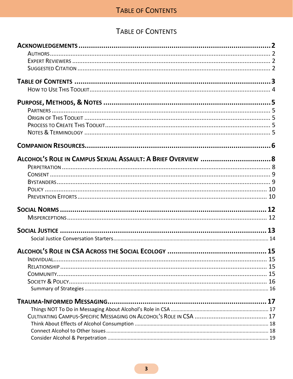# TABLE OF CONTENTS

<span id="page-2-0"></span>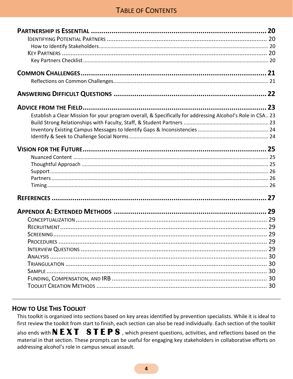# **TABLE OF CONTENTS**

| 20                                                                                                         |
|------------------------------------------------------------------------------------------------------------|
|                                                                                                            |
|                                                                                                            |
|                                                                                                            |
|                                                                                                            |
|                                                                                                            |
|                                                                                                            |
|                                                                                                            |
| 23                                                                                                         |
| Establish a Clear Mission for your program overall, & Specifically for addressing Alcohol's Role in CSA 23 |
|                                                                                                            |
|                                                                                                            |
|                                                                                                            |
|                                                                                                            |
|                                                                                                            |
|                                                                                                            |
|                                                                                                            |
|                                                                                                            |
|                                                                                                            |
|                                                                                                            |
| 29                                                                                                         |
|                                                                                                            |
|                                                                                                            |
|                                                                                                            |
|                                                                                                            |
|                                                                                                            |
|                                                                                                            |
|                                                                                                            |
|                                                                                                            |
|                                                                                                            |
|                                                                                                            |

## <span id="page-3-0"></span>**HOW TO USE THIS TOOLKIT**

This toolkit is organized into sections based on key areas identified by prevention specialists. While it is ideal to first review the toolkit from start to finish, each section can also be read individually. Each section of the toolkit also ends with  $N EXT$  STEPS, which present questions, activities, and reflections based on the material in that section. These prompts can be useful for engaging key stakeholders in collaborative efforts on addressing alcohol's role in campus sexual assault.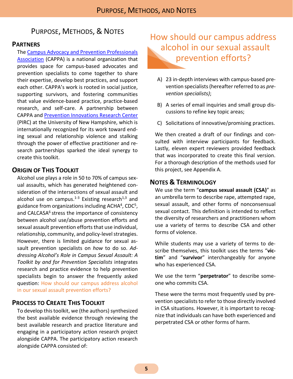# <span id="page-4-0"></span>PURPOSE, METHODS, & NOTES

#### <span id="page-4-1"></span>**PARTNERS**

Th[e Campus Advocacy and Prevention Professionals](http://nationalcappa.org/)  [Association](http://nationalcappa.org/) (CAPPA) is a national organization that provides space for campus-based advocates and prevention specialists to come together to share their expertise, develop best practices, and support each other. CAPPA's work is rooted in social justice, supporting survivors, and fostering communities that value evidence-based practice, practice-based research, and self-care. A partnership between CAPPA and [Prevention Innovations Research Center](https://cola.unh.edu/prevention-innovations-research-center) (PIRC) at the University of New Hampshire, which is internationally recognized for its work toward ending sexual and relationship violence and stalking through the power of effective practitioner and research partnerships sparked the ideal synergy to create this toolkit.

#### <span id="page-4-2"></span>**ORIGIN OF THIS TOOLKIT**

Alcohol use plays a role in 50 to 70% of campus sexual assaults, which has generated heightened consideration of the intersections of sexual assault and alcohol use on campus.<sup>1-3</sup> Existing research<sup>1,3</sup> and guidance from organizations including ACHA<sup>4</sup>, CDC<sup>5</sup>, and CALCASA<sup>6</sup> stress the importance of consistency between alcohol use/abuse prevention efforts and sexual assault prevention efforts that use individual, relationship, community, and policy-level strategies. However, there is limited guidance for sexual assault prevention specialists on *how* to do so. *Addressing Alcohol's Role in Campus Sexual Assault: A Toolkit by and for Prevention Specialists* integrates research and practice evidence to help prevention specialists begin to answer the frequently asked question: How should our campus address alcohol in our sexual assault prevention efforts?

#### <span id="page-4-3"></span>**PROCESS TO CREATE THIS TOOLKIT**

To develop this toolkit, we (the authors) synthesized the best available evidence through reviewing the best available research and practice literature and engaging in a participatory action research project alongside CAPPA. The participatory action research alongside CAPPA consisted of:

# How should our campus address alcohol in our sexual assault prevention efforts?

- A) 23 in-depth interviews with campus-based prevention specialists(hereafter referred to as *prevention specialists)*;
- B) A series of email inquiries and small group discussions to refine key topic areas;
- C) Solicitations of innovative/promising practices.

We then created a draft of our findings and consulted with interview participants for feedback. Lastly, eleven expert reviewers provided feedback that was incorporated to create this final version. For a thorough description of the methods used for this project, see Appendix A.

#### <span id="page-4-4"></span>**NOTES & TERMINOLOGY**

We use the term "**campus sexual assault (CSA)**" as an umbrella term to describe rape, attempted rape, sexual assault, and other forms of nonconsensual sexual contact. This definition is intended to reflect the diversity of researchers and practitioners whom use a variety of terms to describe CSA and other forms of violence.

While students may use a variety of terms to describe themselves, this toolkit uses the terms "**victim**" and "**survivor**" interchangeably for anyone who has experienced CSA.

We use the term "**perpetrator**" to describe someone who commits CSA.

These were the terms most frequently used by prevention specialists to refer to those directly involved in CSA situations. However, it is important to recognize that individuals can have both experienced and perpetrated CSA or other forms of harm.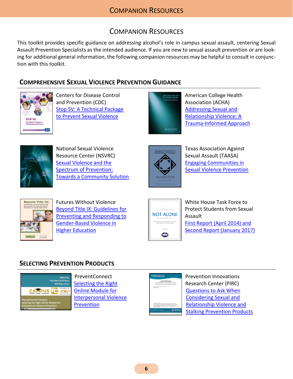# COMPANION RESOURCES

<span id="page-5-0"></span>This toolkit provides specific guidance on addressing alcohol's role in campus sexual assault, centering Sexual Assault Prevention Specialists as the intended audience. If you are new to sexual assault prevention or are looking for additional general information, the following companion resources may be helpful to consult in conjunction with this toolkit.

## **COMPREHENSIVE SEXUAL VIOLENCE PREVENTION GUIDANCE**



Centers for Disease Control and Prevention (CDC) [Stop SV: A Technical Package](https://www.cdc.gov/violenceprevention/pdf/SV-Prevention-Technical-Package.pdf)  [to Prevent Sexual Violence](https://www.cdc.gov/violenceprevention/pdf/SV-Prevention-Technical-Package.pdf)



American College Health Association (ACHA) [Addressing Sexual and](http://www.acha.org/documents/resources/Addressing_Sexual_and_Relationship_Violence_A_Trauma_Informed_Approach.pdf)  [Relationship Violence: A](http://www.acha.org/documents/resources/Addressing_Sexual_and_Relationship_Violence_A_Trauma_Informed_Approach.pdf)  [Trauma-Informed Approach](http://www.acha.org/documents/resources/Addressing_Sexual_and_Relationship_Violence_A_Trauma_Informed_Approach.pdf)



National Sexual Violence Resource Center (NSVRC) [Sexual Violence and the](https://www.nsvrc.org/sites/default/files/Publications_NSVRC_Booklets_Sexual-Violence-and-the-Spectrum-of-Prevention_Towards-a-Community-Solution_0.pdf)  [Spectrum of Prevention:](https://www.nsvrc.org/sites/default/files/Publications_NSVRC_Booklets_Sexual-Violence-and-the-Spectrum-of-Prevention_Towards-a-Community-Solution_0.pdf)  [Towards a Community Solution](https://www.nsvrc.org/sites/default/files/Publications_NSVRC_Booklets_Sexual-Violence-and-the-Spectrum-of-Prevention_Towards-a-Community-Solution_0.pdf)



Texas Association Against Sexual Assault (TAASA) [Engaging Communities in](http://taasa.org/wp-content/uploads/2014/10/Engaging-Communities-in-Sexual-Violence-Prevention.pdf)  [Sexual Violence Prevention](http://taasa.org/wp-content/uploads/2014/10/Engaging-Communities-in-Sexual-Violence-Prevention.pdf)



Futures Without Violence [Beyond Title IX: Guidelines for](https://www.futureswithoutviolence.org/userfiles/file/PublicCommunications/beyondtitleIXfinal.pdf)  [Preventing and Responding to](https://www.futureswithoutviolence.org/userfiles/file/PublicCommunications/beyondtitleIXfinal.pdf)  [Gender-Based Violence in](https://www.futureswithoutviolence.org/userfiles/file/PublicCommunications/beyondtitleIXfinal.pdf)  [Higher Education](https://www.futureswithoutviolence.org/userfiles/file/PublicCommunications/beyondtitleIXfinal.pdf)



White House Task Force to Protect Students from Sexual Assault [First Report \(April 2014\) and](http://changingourcampus.org/about-us/not-alone/)  [Second Report \(January 2017\)](http://changingourcampus.org/about-us/not-alone/)

## **SELECTING PREVENTION PRODUCTS**



PreventConnect [Selecting the Right](http://www.preventconnect.org/2016/03/preventconnect-campus-selecting-the-right-online-module-for-interpersonal-violence-prevention/)  [Online Module for](http://www.preventconnect.org/2016/03/preventconnect-campus-selecting-the-right-online-module-for-interpersonal-violence-prevention/)  [Interpersonal Violence](http://www.preventconnect.org/2016/03/preventconnect-campus-selecting-the-right-online-module-for-interpersonal-violence-prevention/)  [Prevention](http://www.preventconnect.org/2016/03/preventconnect-campus-selecting-the-right-online-module-for-interpersonal-violence-prevention/)



Prevention Innovations Research Center (PIRC) [Questions to Ask When](https://cola.unh.edu/sites/cola.unh.edu/files/media/PIRC_PrevProductWhitePaper.pdf)  [Considering Sexual and](https://cola.unh.edu/sites/cola.unh.edu/files/media/PIRC_PrevProductWhitePaper.pdf)  [Relationship Violence and](https://cola.unh.edu/sites/cola.unh.edu/files/media/PIRC_PrevProductWhitePaper.pdf)  [Stalking Prevention Products](https://cola.unh.edu/sites/cola.unh.edu/files/media/PIRC_PrevProductWhitePaper.pdf)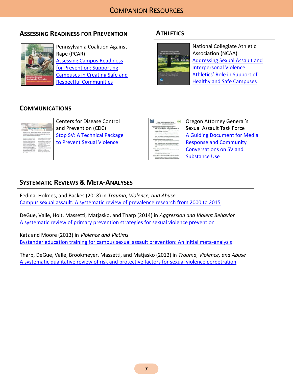# **ASSESSING READINESS FOR PREVENTION**



Pennsylvania Coalition Against Rape (PCAR) [Assessing Campus Readiness](https://www.pcar.org/sites/default/files/resource-pdfs/campus_readiness_manual_2-12_final.pdf)  [for Prevention: Supporting](https://www.pcar.org/sites/default/files/resource-pdfs/campus_readiness_manual_2-12_final.pdf)  [Campuses in Creating Safe and](https://www.pcar.org/sites/default/files/resource-pdfs/campus_readiness_manual_2-12_final.pdf)  [Respectful Communities](https://www.pcar.org/sites/default/files/resource-pdfs/campus_readiness_manual_2-12_final.pdf)

# **ATHLETICS**



National Collegiate Athletic Association (NCAA) [Addressing Sexual Assault and](http://www.ncaa.org/sites/default/files/Sexual-Violence-Prevention.pdf)  [Interpersonal Violence:](http://www.ncaa.org/sites/default/files/Sexual-Violence-Prevention.pdf)  [Athletics' Role in Support of](http://www.ncaa.org/sites/default/files/Sexual-Violence-Prevention.pdf)  [Healthy and Safe Campuses](http://www.ncaa.org/sites/default/files/Sexual-Violence-Prevention.pdf)

# **COMMUNICATIONS**



Centers for Disease Control and Prevention (CDC) [Stop SV: A Technical Package](https://www.cdc.gov/violenceprevention/pdf/SV-Prevention-Technical-Package.pdf)  [to Prevent Sexual Violence](https://www.cdc.gov/violenceprevention/pdf/SV-Prevention-Technical-Package.pdf)

| the Pacific Art Art are a considered a func-                                                             |
|----------------------------------------------------------------------------------------------------------|
| <b>ARREST &amp; Delivery List and Insural Publica Tables Form:</b>                                       |
| A cooling the carbot for Media Kalgrobe and Continuedly Economistical                                    |
| <b>Crowd in the Recording &amp; Education Coloursestings</b>                                             |
| of the departy different decade of a beauty accept fresh from                                            |
| Alcohol A Library Additionally Arthural Jacket entered and Adults as are                                 |
| Substitute (Tilton Sudy) been drilling. Dis new woodlings happened.                                      |
| Behave; 1241 of people have DR, Netthe, attravered by TM, collectives hippens ander                      |
| the influence of plushed or shape. Inhus must architectural the plushes of spreads. Stone drived by      |
| intercomedization's starts attribute appropriate exchange transport than any lost and as to              |
| productional schedule or work schedules from consecutive where the arts intercontent of each affair.     |
| aux destrutions televisit arthofficer on hold and analyze con-                                           |
| Behave: Alter va Role on announce teathy anual behavior, vol's late to have                              |
| conservative short the different way county many and will assuring count of financi-                     |
| pour af commen                                                                                           |
| behaves taxed visions exter lesses achains lest artified to have an that as full                         |
| additionalist, or belief that they desire a plant , to give a whether or earlies that personal           |
| adjourned to consumer                                                                                    |
| Welcher has dealers because as subdivisions for the course seem.                                         |
| Behaves Having hortes), woursin, authentic, and overries communication with all pregne                   |
| almost editoriance and faster mapie air constructioning others people can complete substances.           |
| adaly as well as a season is sensed askedy adaly.                                                        |
| tehany musics builtier serre that back marked and outside and builtier.                                  |
| pressibly except girles butto issues. This means exporting playable in credictionship which              |
| business seekingly detailed from the John short manner a manual than consent to                          |
| Topoliter (from which) scott to counte a healthon, caller, more equitable commodity for all              |
| asian.                                                                                                   |
| can reduce to hold of control of the stage our manager                                                   |
| tehany its adoptive has outland what howeview, sales when your adopt                                     |
| and the air and the state of the main change that with the thermal and                                   |
| <b>MORAGES</b>                                                                                           |
| Behans Progris replats compre aboles without consoliding are all colors . Flamelers                      |
| If am house and the numerical members substance can buildinged amount country on a multi-                |
| to house on the factory that really head to sense assure.                                                |
| Watercore, "No resident work" accords counter releases active Philips at the publishers is about         |
| <b>BRAY WARM</b>                                                                                         |
| Baltimore, located exclusive humanity backular constraints that and disclosed to you look during located |
| propri callingtone et aluftic to compet. As having comunication with parade national                     |
| substance about museums assurance, not can define front answers to reclude amongstation                  |

Oregon Attorney General's Sexual Assault Task Force [A Guiding Document for Media](file:///C:/Users/andjr/Dropbox/Consulting/2017%20SV%20Bystander%20&%20Alcohol/Toolkit/oregonsatf.org/wp-content/uploads/2017/03/Addition-1-Substance-Use-and-SV-Talking-Points-1.2.17.pdf)  [Response and Community](file:///C:/Users/andjr/Dropbox/Consulting/2017%20SV%20Bystander%20&%20Alcohol/Toolkit/oregonsatf.org/wp-content/uploads/2017/03/Addition-1-Substance-Use-and-SV-Talking-Points-1.2.17.pdf)  [Conversations on SV and](file:///C:/Users/andjr/Dropbox/Consulting/2017%20SV%20Bystander%20&%20Alcohol/Toolkit/oregonsatf.org/wp-content/uploads/2017/03/Addition-1-Substance-Use-and-SV-Talking-Points-1.2.17.pdf)  [Substance Use](file:///C:/Users/andjr/Dropbox/Consulting/2017%20SV%20Bystander%20&%20Alcohol/Toolkit/oregonsatf.org/wp-content/uploads/2017/03/Addition-1-Substance-Use-and-SV-Talking-Points-1.2.17.pdf)

# **SYSTEMATIC REVIEWS & META-ANALYSES**

Fedina, Holmes, and Backes (2018) in *Trauma, Violence, and Abuse* [Campus sexual assault: A systematic review of prevalence research from 2000 to 2015](https://doi.org/10.1177/1524838016631129)

DeGue, Valle, Holt, Massetti, Matjasko, and Tharp (2014) in *Aggression and Violent Behavior* [A systematic review of primary prevention strategies for sexual violence prevention](http://dx.doi.org/10.1016/j.avb.2014.05.004)

Katz and Moore (2013) in *Violence and Victims* [Bystander education training for campus sexual assault prevention: An initial meta-analysis](http://dx.doi.org/10.1891/0886-6708.VV-D-12-00113)

Tharp, DeGue, Valle, Brookmeyer, Massetti, and Matjasko (2012) in *Trauma, Violence, and Abuse* [A systematic qualitative review of risk and protective factors for sexual violence perpetration](https://doi.org/10.1177/1524838012470031)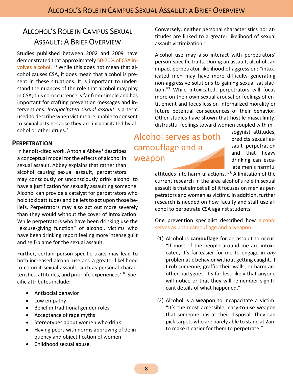# <span id="page-7-0"></span>ALCOHOL'S ROLE IN CAMPUS SEXUAL ASSAULT: A BRIEF OVERVIEW

Studies published between 2002 and 2009 have demonstrated that approximately 50-70% of CSA involves alcohol.<sup>1-3</sup> While this does not mean that alcohol causes CSA, it does mean that alcohol is present in these situations. It is important to understand the nuances of the role that alcohol may play in CSA; this co-occurrence is far from simple and has important for crafting prevention messages and interventions. *Incapacitated sexual assault* is a term used to describe when victims are unable to consent to sexual acts because they are incapacitated by alcohol or other drugs.<sup>2</sup>

### <span id="page-7-1"></span>**PERPETRATION**

In her oft-cited work, Antonia Abbey<sup>1</sup> describes a conceptual model for the effects of alcohol in sexual assault. Abbey explains that rather than alcohol causing sexual assault, perpetrators may consciously or unconsciously drink alcohol to have a justification for sexually assaulting someone. Alcohol can provide a catalyst for perpetrators who hold toxic attitudes and beliefs to act upon those beliefs. Perpetrators may also act out more severely than they would without the cover of intoxication. While perpetrators who have been drinking use the "excuse-giving function" of alcohol, victims who have been drinking report feeling more intense guilt and self-blame for the sexual assault.<sup>1</sup>

Further, certain person-specific traits may lead to both increased alcohol use and a greater likelihood to commit sexual assault, such as personal characteristics, attitudes, and prior life experiences<sup>7, 8</sup>. Specific attributes include:

- Antisocial behavior
- Low empathy
- Belief in traditional gender roles
- Acceptance of rape myths
- Stereotypes about women who drink
- Having peers with norms approving of delinquency and objectification of women
- Childhood sexual abuse.

Conversely, neither personal characteristics nor attitudes are linked to a greater likelihood of sexual assault victimization.<sup>7</sup>

Alcohol use may also interact with perpetrators' person-specific traits. During an assault, alcohol can impact perpetrator likelihood of aggression: "intoxicated men may have more difficulty generating non-aggressive solutions to gaining sexual satisfaction."<sup>7</sup> While intoxicated, perpetrators will focus more on their own sexual arousal or feelings of entitlement and focus less on internalized morality or future potential consequences of their behavior. Other studies have shown that hostile masculinity, distrustful feelings toward women coupled with mi-

Alcohol serves as both camouflage and a weapon

sogynist attitudes, predicts sexual assault perpetration and that heavy drinking can escalate men's harmful

attitudes into harmful actions.<sup>1, 8</sup> A limitation of the current research in the area alcohol's role in sexual assault is that almost all of it focuses on men as perpetrators and women as victims. In addition, further research is needed on how faculty and staff use alcohol to perpetrate CSA against students.

One prevention specialist described how alcohol serves as both camouflage and a weapon:

- (1) Alcohol is **camouflage** for an assault to occur. "If most of the people around me are intoxicated, it's far easier for me to engage in *any*  problematic behavior without getting caught. If I rob someone, graffiti their walls, or harm another partygoer, it's far less likely that anyone will notice or that they will remember significant details of what happened."
- (2) Alcohol is a **weapon** to incapacitate a victim. "It's the most accessible, easy-to-use weapon that someone has at their disposal. They can pick targets who are barely able to stand at 2am to make it easier for them to perpetrate."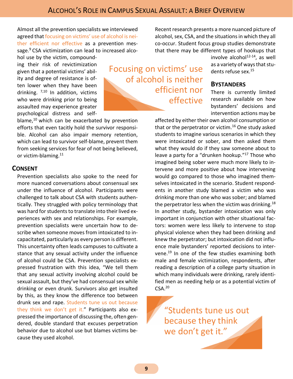Almost all the prevention specialists we interviewed agreed that focusing on victims' use of alcohol is neither efficient nor effective as a prevention message.<sup>9</sup> CSA victimization can lead to increased alcohol use by the victim, compound-

ing their risk of revictimization given that a potential victims' ability and degree of resistance is often lower when they have been drinking. 7,10 In addition, victims who were drinking prior to being assaulted may experience greater psychological distress and self-

blame, $10$  which can be exacerbated by prevention efforts that even tacitly hold the survivor responsible. Alcohol can also impair memory retention, which can lead to survivor self-blame, prevent them from seeking services for fear of not being believed, or victim-blaming.<sup>11</sup>

#### <span id="page-8-0"></span>**CONSENT**

Prevention specialists also spoke to the need for more nuanced conversations about consensual sex under the influence of alcohol. Participants were challenged to talk about CSA with students authentically. They struggled with policy terminology that was hard for students to translate into their lived experiences with sex and relationships. For example, prevention specialists were uncertain how to describe when someone moves from intoxicated to incapacitated, particularly as every person is different. This uncertainty often leads campuses to cultivate a stance that any sexual activity under the influence of alcohol could be CSA. Prevention specialists expressed frustration with this idea, "We tell them that any sexual activity involving alcohol could be sexual assault, but they've had consensual sex while drinking or even drunk. Survivors also get insulted by this, as they know the difference too between drunk sex and rape. Students tune us out because they think we don't get it." Participants also expressed the importance of discussing the, often gendered, double standard that excuses perpetration behavior due to alcohol use but blames victims because they used alcohol.

Recent research presents a more nuanced picture of alcohol, sex, CSA, and the situations in which they all co-occur. Student focus group studies demonstrate that there may be different types of hookups that

> involve alcohol $^{12-14}$ , as well as a variety of ways that students refuse sex.<sup>15</sup>

#### <span id="page-8-1"></span>**BYSTANDERS**

There is currently limited research available on how bystanders' decisions and intervention actions may be

affected by either their own alcohol consumption or that or the perpetrator or victim. <sup>16</sup> One study asked students to imagine various scenarios in which they were intoxicated or sober, and then asked them what they would do if they saw someone about to leave a party for a "drunken hookup."<sup>17</sup> Those who imagined being sober were much more likely to intervene and more positive about how intervening would go compared to those who imagined themselves intoxicated in the scenario. Student respondents in another study blamed a victim who was drinking more than one who was sober; and blamed the perpetrator less when the victim was drinking.<sup>18</sup> In another study, bystander intoxication was only important in conjunction with other situational factors: women were less likely to intervene to stop physical violence when they had been drinking and knew the perpetrator; but intoxication did not influence male bystanders' reported decisions to intervene. <sup>19</sup> In one of the few studies examining both male and female victimization, respondents, after reading a description of a college party situation in which many individuals were drinking, rarely identified men as needing help or as a potential victim of  $CSA.<sup>20</sup>$ 

"Students tune us out because they think we don't get it."

Focusing on victims' use

of alcohol is neither

efficient nor

effective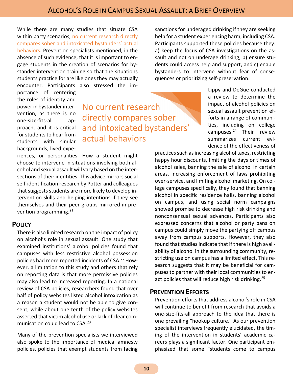While there are many studies that situate CSA within party scenarios, no current research directly compares sober and intoxicated bystanders' actual behaviors. Prevention specialists mentioned, in the absence of such evidence, that it is important to engage students in the creation of scenarios for bystander intervention training so that the situations students practice for are like ones they may actually encounter. Participants also stressed the im-

portance of centering the roles of identity and power in bystander intervention, as there is no one-size-fits-all approach, and it is critical for students to hear from students with similar backgrounds, lived expe-

No current research directly compares sober and intoxicated bystanders' actual behaviors

riences, or personalities. How a student might choose to intervene in situations involving both alcohol and sexual assault will vary based on the intersections of their identities. This advice mirrors social self-identification research by Potter and colleagues that suggests students are more likely to develop intervention skills and helping intentions if they see themselves and their peer groups mirrored in prevention programming.<sup>21</sup>

#### <span id="page-9-0"></span>**POLICY**

There is also limited research on the impact of policy on alcohol's role in sexual assault. One study that examined institutions' alcohol policies found that campuses with less restrictive alcohol possession policies had more reported incidents of CSA.<sup>22</sup> However, a limitation to this study and others that rely on reporting data is that more permissive policies may also lead to increased reporting. In a national review of CSA policies, researchers found that over half of policy websites listed alcohol intoxication as a reason a student would not be able to give consent, while about one tenth of the policy websites asserted that victim alcohol use or lack of clear communication could lead to CSA.<sup>23</sup>

Many of the prevention specialists we interviewed also spoke to the importance of medical amnesty policies, policies that exempt students from facing sanctions for underaged drinking if they are seeking help for a student experiencing harm, including CSA. Participants supported these policies because they: a) keep the focus of CSA investigations on the assault and not on underage drinking, b) ensure students could access help and support, and c) enable bystanders to intervene without fear of consequences or prioritizing self-preservation.

> Lippy and DeGue conducted a review to determine the impact of alcohol policies on sexual assault prevention efforts in a range of communities, including on college campuses.<sup>24</sup> Their review summarizes current evidence of the effectiveness of

practices such as increasing alcohol taxes, restricting happy hour discounts, limiting the days or times of alcohol sales, banning the sale of alcohol in certain areas, increasing enforcement of laws prohibiting over-service, and limiting alcohol marketing. On college campuses specifically, they found that banning alcohol in specific residence halls, banning alcohol on campus, and using social norm campaigns showed promise to decrease high risk drinking and nonconsensual sexual advances. Participants also expressed concerns that alcohol or party bans on campus could simply move the partying off campus away from campus supports. However, they also found that studies indicate that if there is high availability of alcohol in the surrounding community, restricting use on campus has a limited effect. This research suggests that it may be beneficial for campuses to partner with their local communities to enact policies that will reduce high risk drinking.<sup>25</sup>

#### <span id="page-9-1"></span>**PREVENTION EFFORTS**

Prevention efforts that address alcohol's role in CSA will continue to benefit from research that avoids a one-size-fits-all approach to the idea that there is one prevailing "hookup culture." As our prevention specialist interviews frequently elucidated, the timing of the intervention in students' academic careers plays a significant factor. One participant emphasized that some "students come to campus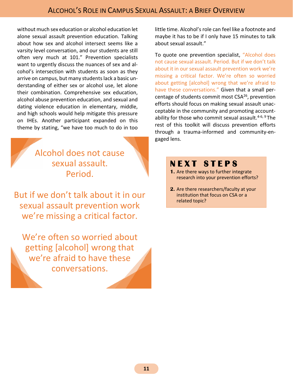without much sex education or alcohol education let alone sexual assault prevention education. Talking about how sex and alcohol intersect seems like a varsity level conversation, and our students are still often very much at 101." Prevention specialists want to urgently discuss the nuances of sex and alcohol's intersection with students as soon as they arrive on campus, but many students lack a basic understanding of either sex or alcohol use, let alone their combination. Comprehensive sex education, alcohol abuse prevention education, and sexual and dating violence education in elementary, middle, and high schools would help mitigate this pressure on IHEs. Another participant expanded on this theme by stating, "we have too much to do in too

> Alcohol does not cause sexual assault. Period.

But if we don't talk about it in our sexual assault prevention work we're missing a critical factor.

We're often so worried about getting [alcohol] wrong that we're afraid to have these conversations.

little time. Alcohol's role can feel like a footnote and maybe it has to be if I only have 15 minutes to talk about sexual assault."

To quote one prevention specialist, "Alcohol does not cause sexual assault. Period. But if we don't talk about it in our sexual assault prevention work we're missing a critical factor. We're often so worried about getting [alcohol] wrong that we're afraid to have these conversations." Given that a small percentage of students commit most CSA<sup>26</sup>, prevention efforts should focus on making sexual assault unacceptable in the community and promoting accountability for those who commit sexual assault.<sup>4-6, 9</sup> The rest of this toolkit will discuss prevention efforts through a trauma-informed and community-engaged lens.

# **N E X T S T E P S**

- **1.** Are there ways to further integrate research into your prevention efforts?
- **2.** Are there researchers/faculty at your institution that focus on CSA or a related topic?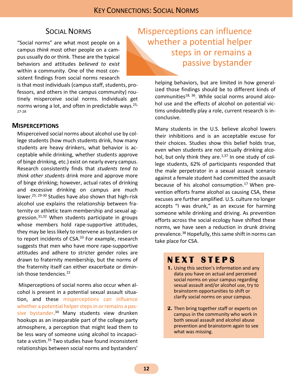## SOCIAL NORMS

<span id="page-11-0"></span>"Social norms" are what most people on a campus *think* most other people on a campus usually do or think. These are the typical behaviors and attitudes *believed to exist* within a community. One of the most consistent findings from social norms research

is that most individuals (campus staff, students, professors, and others in the campus community) routinely misperceive social norms. Individuals get norms wrong a lot, and often in predictable ways.<sup>25,</sup> 27-28

#### <span id="page-11-1"></span>**MISPERCEPTIONS**

Misperceived social norms about alcohol use by college students (how much students drink, how many students are heavy drinkers, what behavior is acceptable while drinking, whether students approve of binge drinking, etc.) exist on nearly every campus. Research consistently finds that *students tend to think other students* drink more and approve more of binge drinking; however, actual rates of drinking and excessive drinking on campus are much lower. 25, 29-30 Studies have also shown that high-risk alcohol use explains the relationship between fraternity or athletic team membership and sexual aggression. $31,32$  When students participate in groups whose members hold rape-supportive attitudes, they may be less likely to intervene as bystanders or to report incidents of CSA.<sup>33</sup> For example, research suggests that men who have more rape-supportive attitudes and adhere to stricter gender roles are drawn to fraternity membership, but the norms of the fraternity itself can either exacerbate or diminish those tendencies.<sup>22</sup>

Misperceptions of social norms also occur when alcohol is present in a potential sexual assault situation, and these misperceptions can influence whether a potential helper steps in or remains a passive bystander. <sup>34</sup> Many students view drunken hookups as an inseparable part of the college party atmosphere, a perception that might lead them to be less wary of someone using alcohol to incapacitate a victim. <sup>35</sup> Two studies have found inconsistent relationships between social norms and bystanders'

Misperceptions can influence whether a potential helper steps in or remains a passive bystander

> helping behaviors, but are limited in how generalized those findings should be to different kinds of communities<sup>18, 36</sup>. While social norms around alcohol use and the effects of alcohol on potential victims undoubtedly play a role, current research is inconclusive.

Many students in the U.S. believe alcohol lowers their inhibitions and is an acceptable excuse for their choices. Studies show this belief holds true, even when students are not actually drinking alcohol, but only think they are. $1,37$  In one study of college students, 62% of participants responded that the male perpetrator in a sexual assault scenario against a female student had committed the assault because of his alcohol consumption.<sup>17</sup> When prevention efforts frame alcohol as causing CSA, these excuses are further amplified. U.S. culture no longer accepts "I was drunk," as an excuse for harming someone while drinking and driving. As prevention efforts across the social ecology have shifted these norms, we have seen a reduction in drunk driving prevalence.<sup>38</sup> Hopefully, this same shift in norms can take place for CSA.

# **N E X T S T E P S**

- **1.** Using this section's information and any data you have on actual and perceived social norms on your campus regarding sexual assault and/or alcohol use, try to brainstorm opportunities to shift or clarify social norms on your campus.
- **2.** Then bring together staff or experts on campus in the community who work in both sexual assault and alcohol abuse prevention and brainstorm again to see what was missing.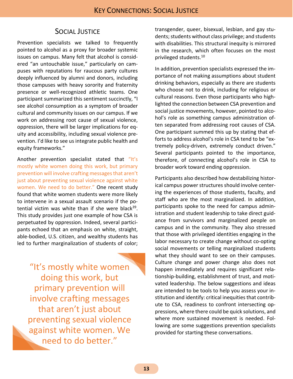## SOCIAL JUSTICE

<span id="page-12-0"></span>Prevention specialists we talked to frequently pointed to alcohol as a proxy for broader systemic issues on campus. Many felt that alcohol is considered "an untouchable issue," particularly on campuses with reputations for raucous party cultures deeply influenced by alumni and donors, including those campuses with heavy sorority and fraternity presence or well-recognized athletic teams. One participant summarized this sentiment succinctly, "I see alcohol consumption as a symptom of broader cultural and community issues on our campus. If we work on addressing root cause of sexual violence, oppression, there will be larger implications for equity and accessibility, including sexual violence prevention. I'd like to see us integrate public health and equity frameworks."

Another prevention specialist stated that "It's mostly white women doing this work, but primary prevention will involve crafting messages that aren't just about preventing sexual violence against white women. We need to do better." One recent study found that white women students were more likely to intervene in a sexual assault scenario if the potential victim was white than if she were black<sup>39</sup>. This study provides just one example of how CSA is perpetuated by oppression. Indeed, several participants echoed that an emphasis on white, straight, able-bodied, U.S. citizen, and wealthy students has led to further marginalization of students of color;

"It's mostly white women doing this work, but primary prevention will involve crafting messages that aren't just about preventing sexual violence against white women. We need to do better."

transgender, queer, bisexual, lesbian, and gay students; students without class privilege; and students with disabilities. This structural inequity is mirrored in the research, which often focuses on the most privileged students.<sup>10</sup>

In addition, prevention specialists expressed the importance of not making assumptions about student drinking behaviors, especially as there are students who choose not to drink, including for religious or cultural reasons. Even those participants who highlighted the connection between CSA prevention and social justice movements, however, pointed to alcohol's role as something campus administration often separated from addressing root causes of CSA. One participant summed this up by stating that efforts to address alcohol's role in CSA tend to be "extremely policy-driven, extremely conduct driven." Several participants pointed to the importance, therefore, of connecting alcohol's role in CSA to broader work toward ending oppression.

Participants also described how destabilizing historical campus power structures should involve centering the experiences of those students, faculty, and staff who are the most marginalized. In addition, participants spoke to the need for campus administration and student leadership to take direct guidance from survivors and marginalized people on campus and in the community. They also stressed that those with privileged identities engaging in the labor necessary to create change without co-opting social movements or telling marginalized students what they should want to see on their campuses. Culture change and power change also does not happen immediately and requires significant relationship-building, establishment of trust, and motivated leadership. The below suggestions and ideas are intended to be tools to help you assess your institution and identify: critical inequities that contribute to CSA, readiness to confront intersecting oppressions, where there could be quick solutions, and where more sustained movement is needed. Following are some suggestions prevention specialists provided for starting these conversations.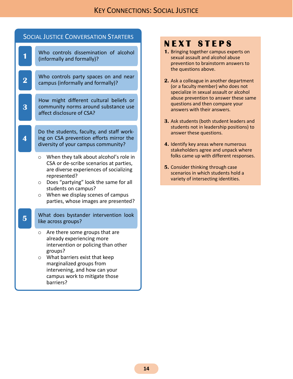| <b>SOCIAL JUSTICE CONVERSATION STARTERS</b> |                                                                                                                                                                                                                                                                                                                         |  |
|---------------------------------------------|-------------------------------------------------------------------------------------------------------------------------------------------------------------------------------------------------------------------------------------------------------------------------------------------------------------------------|--|
| 1                                           | Who controls dissemination of alcohol<br>(informally and formally)?                                                                                                                                                                                                                                                     |  |
| $\overline{\mathbf{2}}$                     | Who controls party spaces on and near<br>campus (informally and formally)?                                                                                                                                                                                                                                              |  |
| 3                                           | How might different cultural beliefs or<br>community norms around substance use<br>affect disclosure of CSA?                                                                                                                                                                                                            |  |
|                                             | Do the students, faculty, and staff work-<br>ing on CSA prevention efforts mirror the<br>diversity of your campus community?                                                                                                                                                                                            |  |
|                                             | When they talk about alcohol's role in<br>$\circ$<br>CSA or de-scribe scenarios at parties,<br>are diverse experiences of socializing<br>represented?<br>Does "partying" look the same for all<br>$\circ$<br>students on campus?<br>When we display scenes of campus<br>$\circ$<br>parties, whose images are presented? |  |
| 5                                           | What does bystander intervention look<br>like across groups?                                                                                                                                                                                                                                                            |  |
|                                             | Are there some groups that are<br>$\circ$<br>already experiencing more<br>intervention or policing than other<br>groups?<br>What barriers exist that keep<br>O<br>marginalized groups from<br>intervening, and how can your<br>campus work to mitigate those<br>barriers?                                               |  |

# **NEXT STEPS**

- **1.** Bringing together campus experts on sexual assault and alcohol abuse prevention to brainstorm answers to the questions above.
- **2.** Ask a colleague in another department (or a faculty member) who does not specialize in sexual assault or alcohol abuse prevention to answer these same questions and then compare your answers with their answers.
- **3.** Ask students (both student leaders and students not in leadership positions) to answer these questions.
- **4.** Identify key areas where numerous stakeholders agree and unpack where folks came up with different responses.
- **5.** Consider thinking through case scenarios in which students hold a variety of intersecting identities.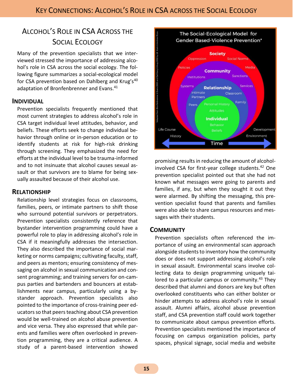# <span id="page-14-0"></span>ALCOHOL'S ROLE IN CSA ACROSS THE SOCIAL ECOLOGY

Many of the prevention specialists that we interviewed stressed the importance of addressing alcohol's role in CSA across the social ecology. The following figure summarizes a social-ecological model for CSA prevention based on Dahlberg and Krug's<sup>40</sup> adaptation of Bronfenbrenner and Evans.<sup>41</sup>

#### <span id="page-14-1"></span>**INDIVIDUAL**

Prevention specialists frequently mentioned that most current strategies to address alcohol's role in CSA target individual level attitudes, behavior, and beliefs. These efforts seek to change individual behavior through online or in-person education or to identify students at risk for high-risk drinking through screening. They emphasized the need for efforts at the individual level to be trauma-informed and to not insinuate that alcohol causes sexual assault or that survivors are to blame for being sexually assaulted because of their alcohol use.

#### <span id="page-14-2"></span>**RELATIONSHIP**

Relationship level strategies focus on classrooms, families, peers, or intimate partners to shift those who surround potential survivors or perpetrators. Prevention specialists consistently reference that bystander intervention programming could have a powerful role to play in addressing alcohol's role in CSA if it meaningfully addresses the intersection. They also described the importance of social marketing or norms campaigns; cultivating faculty, staff, and peers as mentors; ensuring consistency of messaging on alcohol in sexual communication and consent programming; and training servers for on-campus parties and bartenders and bouncers at establishments near campus, particularly using a bystander approach. Prevention specialists also pointed to the importance of cross-training peer educators so that peers teaching about CSA prevention would be well-trained on alcohol abuse prevention and vice versa. They also expressed that while parents and families were often overlooked in prevention programming, they are a critical audience. A study of a parent-based intervention showed



promising results in reducing the amount of alcoholinvolved CSA for first-year college students. <sup>42</sup> One prevention specialist pointed out that she had not known what messages were going to parents and families, if any, but when they sought it out they were alarmed. By shifting the messaging, this prevention specialist found that parents and families were also able to share campus resources and messages with their students.

#### <span id="page-14-3"></span>**COMMUNITY**

Prevention specialists often referenced the importance of using an environmental scan approach alongside students to inventory how the community does or does not support addressing alcohol's role in sexual assault. Environmental scans involve collecting data to design programming uniquely tailored to a particular campus or community.<sup>43</sup> They described that alumni and donors are key but often overlooked constituents who can either bolster or hinder attempts to address alcohol's role in sexual assault. Alumni affairs, alcohol abuse prevention staff, and CSA prevention staff could work together to communicate about campus prevention efforts. Prevention specialists mentioned the importance of focusing on campus organization policies, party spaces, physical signage, social media and website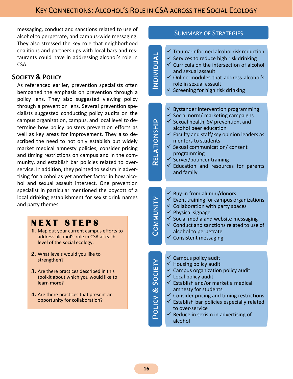messaging, conduct and sanctions related to use of alcohol to perpetrate, and campus-wide messaging. They also stressed the key role that neighborhood coalitions and partnerships with local bars and restaurants could have in addressing alcohol's role in CSA.

## <span id="page-15-0"></span>**SOCIETY & POLICY**

As referenced earlier, prevention specialists often bemoaned the emphasis on prevention through a policy lens. They also suggested viewing policy through a prevention lens. Several prevention specialists suggested conducting policy audits on the campus organization, campus, and local level to determine how policy bolsters prevention efforts as well as key areas for improvement. They also described the need to not only establish but widely market medical amnesty policies, consider pricing and timing restrictions on campus and in the community, and establish bar policies related to overservice. In addition, they pointed to sexism in advertising for alcohol as yet another factor in how alcohol and sexual assault intersect. One prevention specialist in particular mentioned the boycott of a local drinking establishment for sexist drink names and party themes.

# **N E X T S T E P S**

- **1.** Map out your current campus efforts to address alcohol's role in CSA at each level of the social ecology.
- **2.** What levels would you like to strengthen?
- **3.** Are there practices described in this toolkit about which you would like to learn more?
- **4.** Are there practices that present an opportunity for collaboration?

#### SUMMARY OF STRATEGIES

| <b>AUDIVIQUA</b>            | $\checkmark$ Trauma-informed alcohol risk reduction<br>$\checkmark$ Services to reduce high risk drinking<br>$\checkmark$ Curricula on the intersection of alcohol<br>and sexual assault<br>$\checkmark$ Online modules that address alcohol's<br>role in sexual assault<br>Screening for high risk drinking                                                                                                  |
|-----------------------------|---------------------------------------------------------------------------------------------------------------------------------------------------------------------------------------------------------------------------------------------------------------------------------------------------------------------------------------------------------------------------------------------------------------|
|                             | $\checkmark$ Bystander intervention programming                                                                                                                                                                                                                                                                                                                                                               |
| RELATIONSHI                 | $\checkmark$ Social norm/ marketing campaigns<br>$\checkmark$ Sexual health, SV prevention, and<br>alcohol peer education<br>$\checkmark$ Faculty and staff/key opinion leaders as<br>mentors to students<br>$\checkmark$ Sexual communication/consent<br>programming<br>∕ Server/bouncer training<br>$\checkmark$ Education and resources for parents<br>and family                                          |
|                             |                                                                                                                                                                                                                                                                                                                                                                                                               |
| NINUMNITY                   | $\checkmark$ Buy-in from alumni/donors<br>$\checkmark$ Event training for campus organizations<br>$\checkmark$ Collaboration with party spaces<br>$\checkmark$ Physical signage<br>$\checkmark$ Social media and website messaging<br>$\checkmark$ Conduct and sanctions related to use of<br>alcohol to perpetrate<br>$\checkmark$ Consistent messaging                                                      |
|                             |                                                                                                                                                                                                                                                                                                                                                                                                               |
| <b>POLICY &amp; SOCIETY</b> | $\checkmark$ Campus policy audit<br>$\checkmark$ Housing policy audit<br>$\checkmark$ Campus organization policy audit<br>$\checkmark$ Local policy audit<br>$\checkmark$ Establish and/or market a medical<br>amnesty for students<br>Consider pricing and timing restrictions<br>$\checkmark$ Establish bar policies especially related<br>to over-service<br>Reduce in sexism in advertising of<br>alcohol |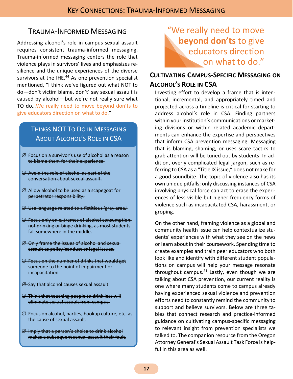# <span id="page-16-0"></span>TRAUMA-INFORMED MESSAGING

Addressing alcohol's role in campus sexual assault requires consistent trauma-informed messaging. Trauma-informed messaging centers the role that violence plays in survivors' lives and emphasizes resilience and the unique experiences of the diverse survivors at the IHE.<sup>44</sup> As one prevention specialist mentioned, "I think we've figured out what NOT to do—don't victim blame, don't' say sexual assault is caused by alcohol—but we're not really sure what TO do…We really need to move beyond don'ts to give educators direction on what to do."

# THINGS NOT TO DO IN MESSAGING ABOUT ALCOHOL'S ROLE IN CSA

- $\varnothing$  Focus on a survivor's use of alcohol as a reason to blame them for their experience.
- $\varnothing$  Avoid the role of alcohol as part of the conversation about sexual assault.
- $\varnothing$  Allow alcohol to be used as a scapegoat for perpetrator responsibility.
- $\varnothing$  Use language related to a fictitious 'gray area.'
- $\varnothing$  Focus only on extremes of alcohol consumption: not drinking or binge drinking, as most students fall somewhere in the middle.
- $\varnothing$  Only frame the issues of alcohol and sexual assault as policy/conduct or legal issues.
- $\varnothing$  Focus on the number of drinks that would get someone to the point of impairment or incapacitation.
- $\varnothing$  Say that alcohol causes sexual assault.
- $\varnothing$  Think that teaching people to drink less will eliminate sexual assault from campus.
- Focus on alcohol, parties, hookup culture, etc. as the cause of sexual assault.
- $\varnothing$  lmply that a person's choice to drink alcohol makes a subsequent sexual assault their fault.

# "We really need to move **beyond don'ts** to give educators direction on what to do."

## <span id="page-16-1"></span>**CULTIVATING CAMPUS-SPECIFIC MESSAGING ON ALCOHOL'S ROLE IN CSA**

Investing effort to develop a frame that is intentional, incremental, and appropriately timed and projected across a timeline is critical for starting to address alcohol's role in CSA. Finding partners within your institution's communications or marketing divisions or within related academic departments can enhance the expertise and perspectives that inform CSA prevention messaging. Messaging that is blaming, shaming, or uses scare tactics to grab attention will be tuned out by students. In addition, overly complicated legal jargon, such as referring to CSA as a "Title IX issue," does not make for a good soundbite. The topic of violence also has its own unique pitfalls; only discussing instances of CSA involving physical force can act to erase the experiences of less visible but higher frequency forms of violence such as incapacitated CSA, harassment, or groping.

On the other hand, framing violence as a global and community health issue can help contextualize students' experiences with what they see on the news or learn about in their coursework. Spending time to create examples and train peer educators who both look like and identify with different student populations on campus will help your message resonate throughout campus. $^{21}$  Lastly, even though we are talking about CSA prevention, our current reality is one where many students come to campus already having experienced sexual violence and prevention efforts need to constantly remind the community to support and believe survivors. Below are three tables that connect research and practice-informed guidance on cultivating campus-specific messaging to relevant insight from prevention specialists we talked to. The companion resource from the Oregon Attorney General's Sexual Assault Task Force is helpful in this area as well.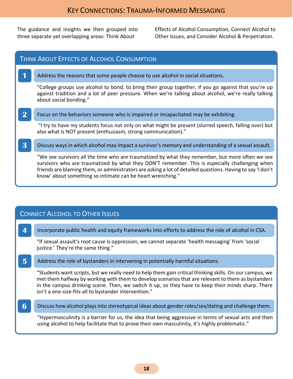The guidance and insights we then grouped into three separate yet overlapping areas: Think About

Effects of Alcohol Consumption, Connect Alcohol to Other Issues, and Consider Alcohol & Perpetration.

# THINK ABOUT EFFECTS OF ALCOHOL CONSUMPTION **1** Address the reasons that some people choose to use alcohol in social situations. "College groups use alcohol to bond, to bring their group together, if you go against that you're up against tradition and a lot of peer pressure. When we're talking about alcohol, we're really talking about social bonding." **2** Focus on the behaviors someone who is impaired or incapacitated may be exhibiting. "I try to have my students focus not only on what might be present (slurred speech, falling over) but also what is NOT present (enthusiasm, strong communication)." **3** Discuss ways in which alcohol may impact a survivor's memory and understanding of a sexual assault. "We see survivors all the time who are traumatized by what they remember, but more often we see survivors who are traumatized by what they DON'T remember. This is especially challenging when friends are blaming them, or administrators are asking a lot of detailed questions. Having to say 'I don't know' about something so intimate can be heart wrenching."

## CONNECT ALCOHOL TO OTHER ISSUES

**4** Incorporate public health and equity frameworks into efforts to address the role of alcohol in CSA.

"If sexual assault's root cause is oppression, we cannot separate 'health messaging' from 'social justice.' They're the same thing."

**5** Address the role of bystanders in intervening in potentially harmful situations.

"Students want scripts, but we really need to help them gain critical thinking skills. On our campus, we met them halfway by working with them to develop scenarios that are relevant to them as bystanders in the campus drinking scene. Then, we switch it up, so they have to keep their minds sharp. There isn't a one-size-fits-all to bystander intervention."

**6** Discuss how alcohol plays into stereotypical ideas about gender roles/sex/dating and challenge them.

"Hypermasculinity is a barrier for us, the idea that being aggressive in terms of sexual acts and then using alcohol to help facilitate that to prove their own masculinity, it's highly problematic."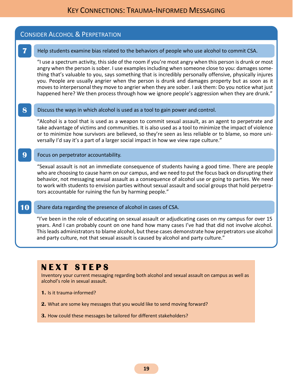#### CONSIDER ALCOHOL & PERPETRATION

#### **7** Help students examine bias related to the behaviors of people who use alcohol to commit CSA.

"I use a spectrum activity, this side of the room if you're most angry when this person is drunk or most angry when the person is sober. I use examples including when someone close to you: damages something that's valuable to you, says something that is incredibly personally offensive, physically injures you. People are usually angrier when the person is drunk and damages property but as soon as it moves to interpersonal they move to angrier when they are sober. I ask them: Do you notice what just happened here? We then process through how we ignore people's aggression when they are drunk."

#### **8** Discuss the ways in which alcohol is used as a tool to gain power and control.

"Alcohol is a tool that is used as a weapon to commit sexual assault, as an agent to perpetrate and take advantage of victims and communities. It is also used as a tool to minimize the impact of violence or to minimize how survivors are believed, so they're seen as less reliable or to blame, so more universally I'd say it's a part of a larger social impact in how we view rape culture."

#### **9** Focus on perpetrator accountability.

"Sexual assault is not an immediate consequence of students having a good time. There are people who are choosing to cause harm on our campus, and we need to put the focus back on disrupting their behavior, not messaging sexual assault as a consequence of alcohol use or going to parties. We need to work with students to envision parties without sexual assault and social groups that hold perpetrators accountable for ruining the fun by harming people."

#### **10** Share data regarding the presence of alcohol in cases of CSA.

"I've been in the role of educating on sexual assault or adjudicating cases on my campus for over 15 years. And I can probably count on one hand how many cases I've had that did not involve alcohol. This leads administrators to blame alcohol, but these cases demonstrate how perpetrators use alcohol and party culture, not that sexual assault is caused by alcohol and party culture."

# **N E X T S T E P S**

Inventory your current messaging regarding both alcohol and sexual assault on campus as well as alcohol's role in sexual assault.

- **1.** Is it trauma-informed?
- **2.** What are some key messages that you would like to send moving forward?
- **3.** How could these messages be tailored for different stakeholders?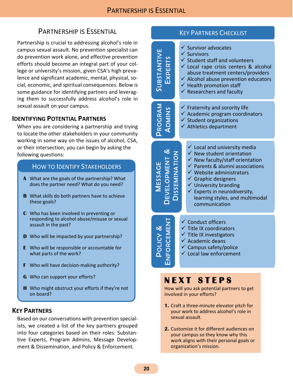# PARTNERSHIP IS ESSENTIAL

<span id="page-19-0"></span>Partnership is crucial to addressing alcohol's role in campus sexual assault. No prevention specialist can do prevention work alone, and effective prevention efforts should become an integral part of your college or university's mission, given CSA's high prevalence and significant academic, mental, physical, social, economic, and spiritual consequences. Below is some guidance for identifying partners and leveraging them to successfully address alcohol's role in sexual assault on your campus.

### <span id="page-19-1"></span>**IDENTIFYING POTENTIAL PARTNERS**

When you are considering a partnership and trying to locate the other stakeholders in your community working in some way on the issues of alcohol, CSA, or their intersection, you can begin by asking the following questions:

### HOW TO IDENTIFY STAKEHOLDERS

- **A** What are the goals of the partnership? What does the partner need? What do you need?
- **B** What skills do both partners have to achieve these goals?
- **C** Who has been involved in preventing or responding to alcohol abuse/misuse or sexual assault in the past?
- **D** Who will be impacted by your partnership?
- **E** Who will be responsible or accountable for what parts of the work?
- **F** Who will have decision-making authority?
- **G** Who can support your efforts?
- **H** Who might obstruct your efforts if they're not on board?

#### <span id="page-19-2"></span>**KEY PARTNERS**

Based on our conversations with prevention specialists, we created a list of the key partners grouped into four categories based on their roles: Substantive Experts, Program Admins, Message Development & Dissemination, and Policy & Enforcement.

#### ✓ Survivor advocates ✓ Survivors ✓ Student staff and volunteers  $\checkmark$  Local rape crisis centers & alcohol abuse treatment centers/providers  $\checkmark$  Alcohol abuse prevention educators  $\checkmark$  Health promotion staff <u>DOM</u><br>
V Survivors<br>
V Student staff and volunt<br>
V Local rape crisis center<br>
abuse treatment center<br>
V Alcohol abuse preventic<br>
V Health promotion staff<br>
V Researchers and faculty EXPERTS  $\checkmark$  Fraternity and sorority life  $\checkmark$  Academic program coordinators  $\checkmark$  Student organizations  $\checkmark$  Athletics department PROGRAM **ADMINS**  $\checkmark$  Local and university media  $\checkmark$  New student orientation  $\checkmark$  New faculty/staff orientation  $\checkmark$  Parents & alumni associations ✓ Website administrators  $\checkmark$  Graphic designers  $\checkmark$  University branding  $\checkmark$  Experts in neurodiversity, learning styles, and multimodal communication **MESSAGE**<br>DEVELOPMENT DEVELOPMENT &**DISSEMINATION** DISSEMINATION ✓ Conduct officers ✓ Title IX coordinators ✓ Title IX investigators  $\checkmark$  Academic deans ✓ Campus safety/police  $\mathsf \Omega$ ✓ Local law enforcement **OLICY** &ENFORCEMENT

**KEY PARTNERS CHECKLIST** 

# **N E X T S T E P S**

How will you ask potential partners to get involved in your efforts?

- **1.** Craft a three-minute elevator pitch for your work to address alcohol's role in sexual assault.
- **2.** Customize it for different audiences on your campus so they know why this work aligns with their personal goals or organization's mission.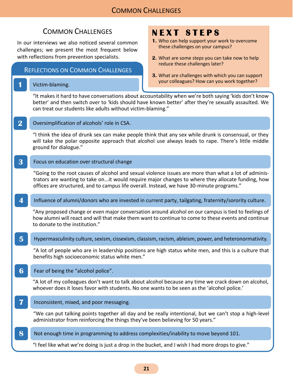<span id="page-20-0"></span>In our interviews we also noticed several common challenges; we present the most frequent below with reflections from prevention specialists.

#### REFLECTIONS ON COMMON CHALLENGES

#### **1** Victim-blaming.

# **N E X T S T E P S**

- **1.** Who can help support your work to overcome these challenges on your campus?
- **2.** What are some steps you can take now to help reduce these challenges later?
- **3.** What are challenges with which you can support your colleagues? How can you work together?

"It makes it hard to have conversations about accountability when we're both saying 'kids don't know better' and then switch over to 'kids should have known better' after they're sexually assaulted. We can treat our students like adults without victim-blaming."

**2** Oversimplification of alcohols' role in CSA.

"I think the idea of drunk sex can make people think that any sex while drunk is consensual, or they will take the polar opposite approach that alcohol use always leads to rape. There's little middle ground for dialogue."

**3** Focus on education over structural change

"Going to the root causes of alcohol and sexual violence issues are more than what a lot of administrators are wanting to take on...it would require major changes to where they allocate funding, how offices are structured, and to campus life overall. Instead, we have 30-minute programs."

**4** Influence of alumni/donors who are invested in current party, tailgating, fraternity/sorority culture.

"Any proposed change or even major conversation around alcohol on our campus is tied to feelings of how alumni will react and will that make them want to continue to come to these events and continue to donate to the institution."

**5** Hypermasculinity culture, sexism, cissexism, classism, racism, ableism, power, and heteronormativity.

"A lot of people who are in leadership positions are high status white men, and this is a culture that benefits high socioeconomic status white men."

**6** Fear of being the "alcohol police".

"A lot of my colleagues don't want to talk about alcohol because any time we crack down on alcohol, whoever does it loses favor with students. No one wants to be seen as the 'alcohol police.'

**7** Inconsistent, mixed, and poor messaging.

"We can put talking points together all day and be really intentional, but we can't stop a high-level administrator from reinforcing the things they've been believing for 50 years."

**8** Not enough time in programming to address complexities/inability to move beyond 101.

"I feel like what we're doing is just a drop in the bucket, and I wish I had more drops to give."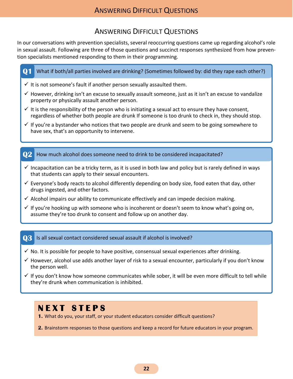# ANSWERING DIFFICULT QUESTIONS

<span id="page-21-0"></span>In our conversations with prevention specialists, several reoccurring questions came up regarding alcohol's role in sexual assault. Following are three of those questions and succinct responses synthesized from how prevention specialists mentioned responding to them in their programming.

| Q <sub>1</sub> | What if both/all parties involved are drinking? (Sometimes followed by: did they rape each other?)                                                                                                                    |
|----------------|-----------------------------------------------------------------------------------------------------------------------------------------------------------------------------------------------------------------------|
|                | $\checkmark$ It is not someone's fault if another person sexually assaulted them.                                                                                                                                     |
|                | $\checkmark$ However, drinking isn't an excuse to sexually assault someone, just as it isn't an excuse to vandalize<br>property or physically assault another person.                                                 |
|                | $\checkmark$ It is the responsibility of the person who is initiating a sexual act to ensure they have consent,<br>regardless of whether both people are drunk If someone is too drunk to check in, they should stop. |
|                | $\checkmark$ If you're a bystander who notices that two people are drunk and seem to be going somewhere to<br>have sex, that's an opportunity to intervene.                                                           |
|                |                                                                                                                                                                                                                       |
|                |                                                                                                                                                                                                                       |
|                | How much alcohol does someone need to drink to be considered incapacitated?                                                                                                                                           |
|                | $\checkmark$ Incapacitation can be a tricky term, as it is used in both law and policy but is rarely defined in ways<br>that students can apply to their sexual encounters.                                           |
|                | $\checkmark$ Everyone's body reacts to alcohol differently depending on body size, food eaten that day, other<br>drugs ingested, and other factors.                                                                   |
|                | $\checkmark$ Alcohol impairs our ability to communicate effectively and can impede decision making.                                                                                                                   |

#### **Q3** Is all sexual contact considered sexual assault if alcohol is involved?

- $\checkmark$  No. It is possible for people to have positive, consensual sexual experiences after drinking.
- $\checkmark$  However, alcohol use adds another layer of risk to a sexual encounter, particularly if you don't know the person well.
- $\checkmark$  If you don't know how someone communicates while sober, it will be even more difficult to tell while they're drunk when communication is inhibited.

# **N E X T S T E P S**

- **1.** What do you, your staff, or your student educators consider difficult questions?
- **2.** Brainstorm responses to those questions and keep a record for future educators in your program.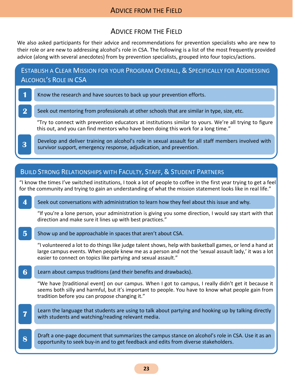## ADVICE FROM THE FIELD

# ADVICE FROM THE FIELD

<span id="page-22-0"></span>We also asked participants for their advice and recommendations for prevention specialists who are new to their role or are new to addressing alcohol's role in CSA. The following is a list of the most frequently provided advice (along with several anecdotes) from by prevention specialists, grouped into four topics/actions.

ESTABLISH A CLEAR MISSION FOR YOUR PROGRAM OVERALL, & SPECIFICALLY FOR ADDRESSING ALCOHOL'S ROLE IN CSA

- **1** Know the research and have sources to back up your prevention efforts.
- **2** Seek out mentoring from professionals at other schools that are similar in type, size, etc.

"Try to connect with prevention educators at institutions similar to yours. We're all trying to figure this out, and you can find mentors who have been doing this work for a long time."

Develop and deliver training on alcohol's role in sexual assault for all staff members involved with survivor support, emergency response, adjudication, and prevention.

# BUILD STRONG RELATIONSHIPS WITH FACULTY, STAFF, & STUDENT PARTNERS **4** Seek out conversations with administration to learn how they feel about this issue and why. "If you're a lone person, your administration is giving you some direction, I would say start with that direction and make sure it lines up with best practices." **5** Show up and be approachable in spaces that aren't about CSA. "I volunteered a lot to do things like judge talent shows, help with basketball games, or lend a hand at large campus events. When people knew me as a person and not the 'sexual assault lady,' it was a lot easier to connect on topics like partying and sexual assault." **6** Learn about campus traditions (and their benefits and drawbacks). "We have [traditional event] on our campus. When I got to campus, I really didn't get it because it seems both silly and harmful, but it's important to people. You have to know what people gain from tradition before you can propose changing it." **Learn the language that students are using to talk about partying and hooking up by talking directly with students and watching/reading relevant media. 8** Draft a one-page document that summarizes the campus stance on alcohol's role in CSA. Use it as an opportunity to seek buy-in and to get feedback and edits from diverse stakeholders. "I know the times I've switched institutions, I took a lot of people to coffee in the first year trying to get a feel for the community and trying to gain an understanding of what the mission statement looks like in real life."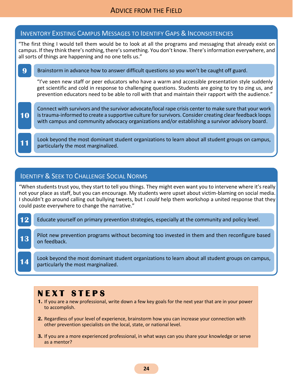## ADVICE FROM THE FIELD

|                                                                                                                                                                                                                                                                                         | <b>INVENTORY EXISTING CAMPUS MESSAGES TO IDENTIFY GAPS &amp; INCONSISTENCIES</b>                                                                                                                                                                                                                                      |  |
|-----------------------------------------------------------------------------------------------------------------------------------------------------------------------------------------------------------------------------------------------------------------------------------------|-----------------------------------------------------------------------------------------------------------------------------------------------------------------------------------------------------------------------------------------------------------------------------------------------------------------------|--|
| "The first thing I would tell them would be to look at all the programs and messaging that already exist on<br>campus. If they think there's nothing, there's something. You don't know. There's information everywhere, and<br>all sorts of things are happening and no one tells us." |                                                                                                                                                                                                                                                                                                                       |  |
| 9                                                                                                                                                                                                                                                                                       | Brainstorm in advance how to answer difficult questions so you won't be caught off guard.                                                                                                                                                                                                                             |  |
|                                                                                                                                                                                                                                                                                         | "I've seen new staff or peer educators who have a warm and accessible presentation style suddenly<br>get scientific and cold in response to challenging questions. Students are going to try to zing us, and<br>prevention educators need to be able to roll with that and maintain their rapport with the audience." |  |
| <b>10</b>                                                                                                                                                                                                                                                                               | Connect with survivors and the survivor advocate/local rape crisis center to make sure that your work<br>is trauma-informed to create a supportive culture for survivors. Consider creating clear feedback loops<br>with campus and community advocacy organizations and/or establishing a survivor advisory board.   |  |
|                                                                                                                                                                                                                                                                                         | Look beyond the most dominant student organizations to learn about all student groups on campus,<br>particularly the most marginalized.                                                                                                                                                                               |  |

# **IDENTIFY & SEEK TO CHALLENGE SOCIAL NORMS**

"When students trust you, they start to tell you things. They might even want you to intervene where it's really not your place as staff, but you can encourage. My students were upset about victim-blaming on social media. I shouldn't go around calling out bullying tweets, but I *could* help them workshop a united response that they could paste everywhere to change the narrative."

- 12 Educate yourself on primary prevention strategies, especially at the community and policy level.
- Pilot new prevention programs without becoming too invested in them and then reconfigure based on feedback.

**14** Look beyond the most dominant student organizations to learn about all student groups on campus, particularly the most marginalized.

# **N E X T S T E P S**

- **1.** If you are a new professional, write down a few key goals for the next year that are in your power to accomplish.
- **2.** Regardless of your level of experience, brainstorm how you can increase your connection with other prevention specialists on the local, state, or national level.
- **3.** If you are a more experienced professional, in what ways can you share your knowledge or serve as a mentor?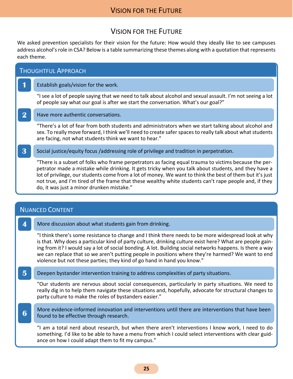## VISION FOR THE FUTURE

# VISION FOR THE FUTURE

<span id="page-24-0"></span>We asked prevention specialists for their vision for the future: How would they ideally like to see campuses address alcohol's role in CSA? Below is a table summarizing these themes along with a quotation that represents each theme.

|          | <b>THOUGHTFUL APPROACH</b>                                                                                                                                                                                                                                                                                                                                                                                                                                                      |
|----------|---------------------------------------------------------------------------------------------------------------------------------------------------------------------------------------------------------------------------------------------------------------------------------------------------------------------------------------------------------------------------------------------------------------------------------------------------------------------------------|
|          | Establish goals/vision for the work.                                                                                                                                                                                                                                                                                                                                                                                                                                            |
|          | "I see a lot of people saying that we need to talk about alcohol and sexual assault. I'm not seeing a lot<br>of people say what our goal is after we start the conversation. What's our goal?"                                                                                                                                                                                                                                                                                  |
| $\bf{2}$ | Have more authentic conversations.                                                                                                                                                                                                                                                                                                                                                                                                                                              |
|          | "There's a lot of fear from both students and administrators when we start talking about alcohol and<br>sex. To really move forward, I think we'll need to create safer spaces to really talk about what students<br>are facing, not what students think we want to hear."                                                                                                                                                                                                      |
| 3        | Social justice/equity focus /addressing role of privilege and tradition in perpetration.                                                                                                                                                                                                                                                                                                                                                                                        |
|          | "There is a subset of folks who frame perpetrators as facing equal trauma to victims because the per-<br>petrator made a mistake while drinking. It gets tricky when you talk about students, and they have a<br>lot of privilege, our students come from a lot of money. We want to think the best of them but it's just<br>not true, and I'm tired of the frame that these wealthy white students can't rape people and, if they<br>do, it was just a minor drunken mistake." |
|          |                                                                                                                                                                                                                                                                                                                                                                                                                                                                                 |
|          | <b>NUANCED CONTENT</b>                                                                                                                                                                                                                                                                                                                                                                                                                                                          |
|          |                                                                                                                                                                                                                                                                                                                                                                                                                                                                                 |

**4** More discussion about what students gain from drinking.

"I think there's some resistance to change and I think there needs to be more widespread look at why is that. Why does a particular kind of party culture, drinking culture exist here? What are people gaining from it? I would say a lot of social bonding. A lot. Building social networks happens. Is there a way we can replace that so we aren't putting people in positions where they're harmed? We want to end violence but not these parties; they kind of go hand in hand you know."

**5** Deepen bystander intervention training to address complexities of party situations.

"Our students are nervous about social consequences, particularly in party situations. We need to really dig in to help them navigate these situations and, hopefully, advocate for structural changes to party culture to make the roles of bystanders easier."

**6** More evidence-informed innovation and interventions until there are interventions that have been found to be effective through research.

"I am a total nerd about research, but when there aren't interventions I know work, I need to do something. I'd like to be able to have a menu from which I could select interventions with clear guidance on how I could adapt them to fit my campus."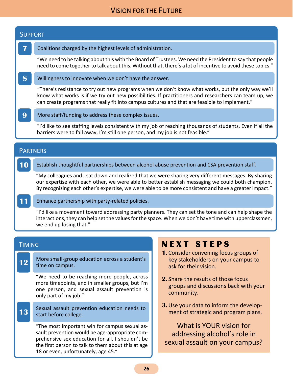## VISION FOR THE FUTURE

| <b>SUPPORT</b>  |                                                                                                                                                                                                                                                                                                            |  |
|-----------------|------------------------------------------------------------------------------------------------------------------------------------------------------------------------------------------------------------------------------------------------------------------------------------------------------------|--|
| 7               | Coalitions charged by the highest levels of administration.                                                                                                                                                                                                                                                |  |
|                 | We need to be talking about this with the Board of Trustees. We need the President to say that people<br>need to come together to talk about this. Without that, there's a lot of incentive to avoid these topics."                                                                                        |  |
| 8               | Willingness to innovate when we don't have the answer.                                                                                                                                                                                                                                                     |  |
|                 | "There's resistance to try out new programs when we don't know what works, but the only way we'll<br>know what works is if we try out new possibilities. If practitioners and researchers can team up, we<br>can create programs that really fit into campus cultures and that are feasible to implement." |  |
| 9               | More staff/funding to address these complex issues.                                                                                                                                                                                                                                                        |  |
|                 | "I'd like to see staffing levels consistent with my job of reaching thousands of students. Even if all the<br>barriers were to fall away, I'm still one person, and my job is not feasible."                                                                                                               |  |
|                 |                                                                                                                                                                                                                                                                                                            |  |
| <b>PARTNERS</b> |                                                                                                                                                                                                                                                                                                            |  |
|                 | Establish thoughtful partnerships between alcohol abuse prevention and CSA prevention staff.                                                                                                                                                                                                               |  |

"My colleagues and I sat down and realized that we were sharing very different messages. By sharing our expertise with each other, we were able to better establish messaging we could both champion. By recognizing each other's expertise, we were able to be more consistent and have a greater impact."

**11** Enhance partnership with party-related policies.

"I'd like a movement toward addressing party planners. They can set the tone and can help shape the interactions, they can help set the values for the space. When we don't have time with upperclassmen, we end up losing that."

#### **TIMING**

**12** More small-group education across a student's time on campus.

"We need to be reaching more people, across more timepoints, and in smaller groups, but I'm one person, and sexual assault prevention is only part of my job."

**13** Sexual assault prevention education needs to start before college.

"The most important win for campus sexual assault prevention would be age-appropriate comprehensive sex education for all. I shouldn't be the first person to talk to them about this at age 18 or even, unfortunately, age 45."

# **N E X T S T E P S**

- **1.** Consider convening focus groups of key stakeholders on your campus to ask for their vision.
- **2.** Share the results of those focus groups and discussions back with your community.
- **3.**Use your data to inform the development of strategic and program plans.

What is YOUR vision for addressing alcohol's role in sexual assault on your campus?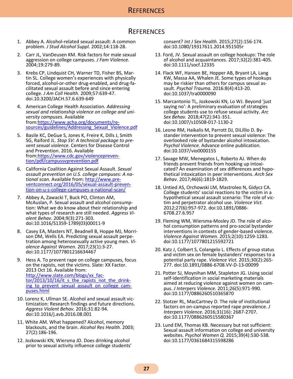#### **REFERENCES**

## **REFERENCES**

- <span id="page-26-0"></span>1. Abbey A. Alcohol-related sexual assault: A common problem. *J Stud Alcohol Suppl.* 2002;14:118-28.
- 2. Carr JL, VanDeusen KM. Risk factors for male sexual aggression on college campuses. *J Fam Violence.*  2004;19:279-89.
- 3. Krebs CP, Lindquist CH, Warner TD, Fisher BS, Martin SL. College women's experiences with physically forced, alcohol-or-other drug-enabled, and drug-facilitated sexual assault before and since entering college. *J Am Coll Health.* 2009;57:639-47. doi.10.3200/JACH.57.6.639-649
- 4. American College Health Association. *Addressing sexual and relationship violence on college and university campuses.* Available from[:https://www.acha.org/documents/re](https://www.acha.org/documents/resources/guidelines/Addressing_Sexual_Violence.pdf)[sources/guidelines/Addressing\\_Sexual\\_Violence.pdf](https://www.acha.org/documents/resources/guidelines/Addressing_Sexual_Violence.pdf)
- 5. Basile KC, DeGue S, Jones K, Freire K, Dills J, Smith SG, Raiford JL. *Stop SV: A technical package to prevent sexual violence.* Centers for Disease Control and Prevention. 2016. Available from[:https://www.cdc.gov/violencepreven](https://www.cdc.gov/violenceprevention/pdf/campussvprevention.pdf)[tion/pdf/campussvprevention.pdf](https://www.cdc.gov/violenceprevention/pdf/campussvprevention.pdf)
- 6. California Coalition Against Sexual Assault. *Sexual assault prevention on U.S. college campuses: A national scan.* Available from: [http://www.pre](http://www.preventconnect.org/2016/05/sexual-assault-prevention-on-u-s-college-campuses-a-national-scan/)[ventconnect.org/2016/05/sexual-assault-preven](http://www.preventconnect.org/2016/05/sexual-assault-prevention-on-u-s-college-campuses-a-national-scan/)[tion-on-u-s-college-campuses-a-national-scan/](http://www.preventconnect.org/2016/05/sexual-assault-prevention-on-u-s-college-campuses-a-national-scan/)
- 7. Abbey A, Zawacki T, Buck PO, Clinton AM, McAuslan, P. Sexual assault and alcohol consumption: What we do know about their relationship and what types of research are still needed. *Aggress Violent Behav.* 2004;9(3):271-303. doi:10.1016/S1359-1789(03)00011-9
- 8. Casey EA, Masters NT, Beadnell B, Hoppe MJ, Morrison DM, Wells EA. Predicting sexual assault perpetration among heterosexually active young men. *Violence Against Women.* 2017;23(1):3-27. doi:10.1177/1077801216634467
- 9. Hess A. To prevent rape on college campuses, focus on the rapists, not the victims. Slate: XX Factor. 2013 Oct 16. Available from: [http://www.slate.com/blogs/xx\\_fac](http://www.slate.com/blogs/xx_factor/2013/10/16/it_s_the_rapists_not_the_drinking_to_prevent_sexual_assault_on_college_campuses.html)[tor/2013/10/16/it\\_s\\_the\\_rapists\\_not\\_the\\_drink](http://www.slate.com/blogs/xx_factor/2013/10/16/it_s_the_rapists_not_the_drinking_to_prevent_sexual_assault_on_college_campuses.html)ing to prevent sexual assault on college cam[puses.html](http://www.slate.com/blogs/xx_factor/2013/10/16/it_s_the_rapists_not_the_drinking_to_prevent_sexual_assault_on_college_campuses.html)
- 10. Lorenz K, Ullman SE. Alcohol and sexual assault victimization: Research findings and future directions. *Aggress Violent Behav.* 2016;31:82-94. doi:10.1016/j.avb.2016.08.001
- 11. White AM. What happened? Alcohol, memory blackouts, and the brain. *Alcohol Res Health.* 2003; 27(2):186-196.
- 12. Jozkowski KN, Wiersma JD. Does drinking alcohol prior to sexual activity influence college students'

consent? *Int J Sex Health.* 2015;27(2):156-174. doi:10.1080/19317611.2014.951505r

- 13. Ford, JV. Sexual assault on college hookups: The role of alcohol and acquaintances. 2017;32(2):381-405. doi:10.1111/socf.12335
- 14. Flack WF, Hansen BE, Hopper AB, Bryant LA, Lang KW, Massa AA, Whalen JE. Some types of hookups may be riskier than others for campus sexual assault. *Psychol Trauma.* 2016:8(4):413-20. doi:10.1037/tra0000090
- 15. Marcantonio TL, Jozkowski KN, Lo WJ. Beyond 'just saying no': A preliminary evaluation of strategies college students use to refuse sexual activity. *Arc Sex Behav.* 2018;47(2):341-351. doi:10.1007/s10508-017-1130-2
- 16. Leone RM, Haikalis M, Parrott DJ, DiLillio D. Bystander intervention to prevent sexual violence: The overlooked role of bystander alcohol intoxication. *Psychol Violence.* Advance online publication. doi:10.1037/vio0000155
- 17. Savage MW, Menegatos L, Roberto AJ. When do friends prevent friends from hooking up intoxicated? An examination of sex differences and hypothetical intoxication in peer interventions. *Arch Sex Behav*. 2017;46(6):1819-1829.
- 18. Untied AS, Orchowski LM, Mastroleo N, Gidycz CA. College students' social reactions to the victim in a hypothetical sexual assault scenario: The role of victim and perpetrator alcohol use. *Violence Vict.*  2012;27(6):957-972. doi:10.1891/0886- 6708.27.6.957
- 19. Fleming WM, Wiersma-Mosley JD. The role of alcohol consumption patterns and pro-social bystander interventions in contexts of gender-based violence. *Violence Against Women.* 2015;2(10):1259-1283. doi:10.1177/1077801215592721
- 20. Katz J, Colbert S, Colangelo L. Effects of group status and victim sex on female bystanders' responses to a potential party rape. *Violence Vict.* 2015;30(2):265- 277. doi:10.1891/0886-6708.VV-D-13-00099
- 21. Potter SJ, Moynihan MM, Stapleton JG. Using social self-identification in social marketing materials aimed at reducing violence against women on campus. *J Interpers Violence.* 2011;26(5):971-990. doi:10.1177/0886260510365870
- 22. Stotzer RL, MacCartney D. The role of institutional factors on on-campus reported rape prevalence. *J Interpers Violence.* 2016;31(16): 2687-2707. doi:10.1177/0886260515580367
- 23. Lund EM, Thomas KB. Necessary but not sufficient: Sexual assault information on college and university websites. *Psychol Women Q.* 2015;39(4):530-538. doi:10.1177/0361684315598286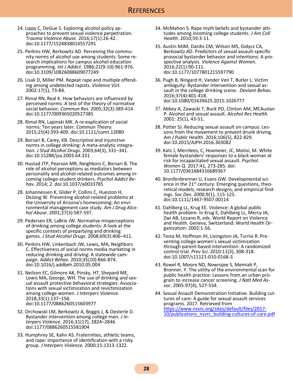- 24. Lippy C, DeGue S. Exploring alcohol policy approaches to prevent sexual violence perpetration. *Trauma Violence Abuse.* 2016;17(1):26-42. doi:10.1177/1524838014557291
- 25. Perkins HW, Berkowitz AD. Perceiving the community norms of alcohol use among students: Some research implications for campus alcohol education programming. *Int J Addict*. 1986;21(9-10):961-976. doi:10.3109/10826088609077249
- 26. Lisak D, Miller PM. Repeat rape and multiple offending among undetected rapists. *Violence Vict.*  2002:17(1), 73-84.
- 27. Rimal RN, Real K. How behaviors are influenced by perceived norms: A test of the theory of normative social behavior. *Commun Res.* 2005;32(3):389-414. doi:10.1177/009365020527385
- 28. Rimal RN, Lapinski MK. A re-explication of social norms: Ten years later. *Commun Theory.*  2015;25(4):393-409. doi:10.1111/comt.12080
- 29. Borsari B, Carey, KB. Descriptive and injunctive norms in college drinking: A meta-analytic integration. *J Stud Alcohol Drugs.* 2003;64(3), 331–341. doi:10.15288/jsa.2003.64.331
- 30. Hustad JTP, Pearson MR, Neighbors C, Borsari B. The role of alcohol perceptions as mediators between personality and alcohol-related outcomes among incoming college-student drinkers. *Psychol Addict Behav.* 2014; 2. doi:10.1037/a0033785
- 28. Johannessen K, Glider P, Collins C, Hueston H, DeJong W. Preventing alcohol-related problems at the University of Arizona's homecoming: An environmental management case study. *Am J Drug Alcohol Abuse*. 2001;27(3):587-597.
- 29. Pedersen ER, LaBrie JW. Normative misperceptions of drinking among college students: A look at the specific contexts of prepartying and drinking games. *J Stud Alcohol Drugs*. 2008;69(3):406–411.
- 30. Perkins HW, Linkenbach JW, Lewis, MA, Neighbors C. Effectiveness of social norms media marketing in reducing drinking and driving: A statewide campaign. *Addict Behav.* 2010;35(10):866-874. doi:10.1016/j.addbeh.2010.05.004
- 31. Neilson EC, Gilmore AK, Pinsky, HT, Shepard ME, Lewis MA, George, WH. The use of drinking and sexual assault protective behavioral strategies: Associations with sexual victimization and revictimization among college women. *J Interpers Violence.* 2018;33(1):137–158. doi:10.1177/0886260515603977
- 32. Orchowski LM, Berkowitz A, Boggis J, & Oesterle D. Bystander intervention among college men. *J Interpers Violence*. 2016;31(17), 2824–2846. doi:1177/0886260515581904
- 33. Humphrey SE, Kahn AS. Fraternities, athletic teams, and rape: Importance of identification with a risky group. *J Interpers Violence.* 2000;15:1313-1322.
- 34. McMahon S. Rape myth beliefs and bystander attitudes among incoming college students. *J Am Coll Health.* 2010;59:3-11.
- 35. Austin MJM, Dardis CM, Wilson MS, Gidycz CA, Berkowitz AD. Predictors of sexual assault-specific prosocial bystander behavior and intentions: A prospective analysis. *Violence Against Women.*  2016;22(1):90-111. doi:10.1177/1077801215597790
- 36. Pugh B, Ningard H, Vander Ven T, Butler L. Victim ambiguity: Bystander intervention and sexual assault in the college drinking scene. *Deviant Behav.*  2016;37(4):401-418. doi:10.1080/01639625.2015.1026777
- 37. Abbey A, Zawacki T, Buck PO, Clinton AM, MCAuslan P. Alcohol and sexual assault. *Alcohol Res Health.*  2001: 25(1), 43-51.
- 38. Potter SJ. Reducing sexual assault on campus: Lessons from the movement to prevent drunk driving. *Am J Public Health*. 2016;106(5), 822-829. doi:10.2015/AJPH.2016.303082
- 39. Katz J, Merrilees, C, Hoxmeier, JC, Motisi, M. White female bystanders' responses to a black woman at risk for incapacitated sexual assault. *Psychol. Women Q.* 2017:41*,* 273-285*.* doi: 10.1177/0361684316689367
- 40. Bronfenbrenner U, Evans GW. Developmental science in the  $21^{st}$  century: Emerging questions, theoretical models, research designs, and empirical findings. *Soc Dev*. 2000;9(1), 115-125. doi:10.1111/1467-9507.00114
- 41. Dahlberg LL, Krug EE. Violence: A global public health problem. In Krug E, Dahlberg LL, Mercy JA, Zwi AB, Lozano R, eds. World Report on Violence and Health. Geneva, Switzerland: World Health Organization: 2002:1-56.
- 42. Testa M, Hoffman JH, Livingston JA, Turrisi R. Preventing college women's sexual victimization through parent-based intervention: A randomized control trial. *Prev Sci.* 2010:11(3), 308-318. doi:10.1007/s11121-010-0168-3
- 43. Rowel R, Moore ND, Nowrojee S, Memiah P, Bronner, Y. The utility of the environmental scan for public health practice: Lessons from an urban program to increase cancer screening. *J Natl Med Assoc*. 2005:97(4), 527-534.
- 44. Sexual Assault Demonstration Initiative. Building cultures of care: A guide for sexual assault services programs. 2017. Retrieved from [https://www.nsvrc.org/sites/default/files/2017-](https://www.nsvrc.org/sites/default/files/2017-10/publications_nsvrc_building-cultures-of-care.pdf) 10/publications nsvrc building-cultures-of-care.pdf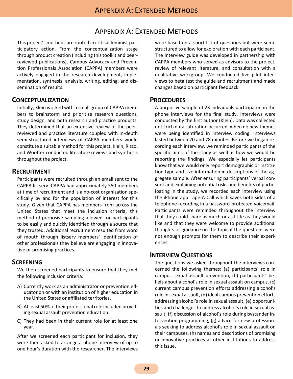# APPENDIX A: EXTENDED METHODS

<span id="page-28-0"></span>This project's methods are rooted in critical feminist participatory action. From the conceptualization stage through product creation (including this toolkit and peerreviewed publications), Campus Advocacy and Prevention Professionals Association (CAPPA) members were actively engaged in the research development, implementation, synthesis, analysis, writing, editing, and dissemination of results.

#### <span id="page-28-1"></span>**CONCEPTUALIZATION**

Initially, Klein worked with a small group of CAPPA members to brainstorm and prioritize research questions, study design, and both research and practice products. They determined that an extensive review of the peerreviewed and practice literature coupled with in-depth semi-structured interviews of CAPPA members would constitute a suitable method for this project. Klein, Rizzo, and Woofter conducted literature reviews and synthesis throughout the project.

#### <span id="page-28-2"></span>**RECRUITMENT**

Participants were recruited through an email sent to the CAPPA listserv. CAPPA had approximately 550 members at time of recruitment and is a no-cost organization specifically by and for the population of interest for this study. Given that CAPPA has members from across the United States that meet the inclusion criteria, this method of purposive sampling allowed for participants to be easily and quickly identified through a source that they trusted. Additional recruitment resulted from word of mouth through listserv members' identification of other professionals they believe are engaging in innovative or promising practices.

#### <span id="page-28-3"></span>**SCREENING**

We then screened participants to ensure that they met the following inclusion criteria:

- A) Currently work as an administrator or prevention educator on or with an institution of higher education in the United States or affiliated territories.
- B) At least 50% of their professional role included providing sexual assault prevention education.
- C) They had been in their current role for at least one year.

After we screened each participant for inclusion, they were then asked to arrange a phone interview of up to one hour's duration with the researcher. The interviews

were based on a short list of questions but were semistructured to allow for exploration with each participant. The interview guide was developed in partnership with CAPPA members who served as advisors to the project, review of relevant literature, and consultation with a qualitative workgroup. We conducted five pilot interviews to beta test the guide and recruitment and made changes based on participant feedback.

#### <span id="page-28-4"></span>**PROCEDURES**

A purposive sample of 23 individuals participated in the phone interviews for the final study. Interviews were conducted by the first author (Klein). Data was collected until rich data saturation occurred, when no new themes were being identified in interview coding. Interviews lasted between 20 and 78 minutes. Before we began recording each interview, we reminded participants of the specific aims of the study as well as how we would be reporting the findings. We especially let participants know that we would only report demographic or institution type and size information in descriptions of the aggregate sample. After ensuring participants' verbal consent and explaining potential risks and benefits of participating in the study, we recorded each interview using the iPhone app Tape-A-Call which saves both sides of a telephone recording in a password-protected voicemail. Participants were reminded throughout the interview that they could share as much or as little as they would like and that they were welcome to provide additional thoughts or guidance on the topic if the questions were not enough prompts for them to describe their experiences.

#### <span id="page-28-5"></span>**INTERVIEW QUESTIONS**

The questions we asked throughout the interviews concerned the following themes: (a) participants' role in campus sexual assault prevention, (b) participants' beliefs about alcohol's role in sexual assault on campus, (c) current campus prevention efforts addressing alcohol's role in sexual assault, (d) ideal campus prevention efforts addressing alcohol's role in sexual assault, (e) opportunities and challenges to address alcohol's role in sexual assault, (f) discussion of alcohol's role during bystander intervention programming, (g) advice for new professionals seeking to address alcohol's role in sexual assault on their campuses, (h) names and descriptions of promising or innovative practices at other institutions to address this issue.